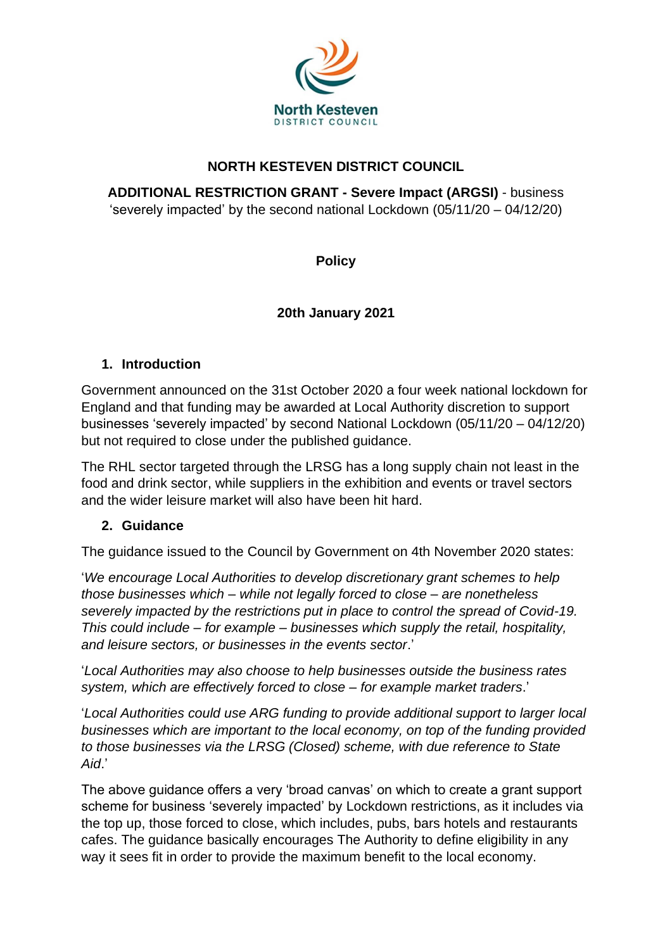

## **NORTH KESTEVEN DISTRICT COUNCIL**

**ADDITIONAL RESTRICTION GRANT - Severe Impact (ARGSI)** - business 'severely impacted' by the second national Lockdown (05/11/20 – 04/12/20)

**Policy**

## **20th January 2021**

### **1. Introduction**

Government announced on the 31st October 2020 a four week national lockdown for England and that funding may be awarded at Local Authority discretion to support businesses 'severely impacted' by second National Lockdown (05/11/20 – 04/12/20) but not required to close under the published guidance.

The RHL sector targeted through the LRSG has a long supply chain not least in the food and drink sector, while suppliers in the exhibition and events or travel sectors and the wider leisure market will also have been hit hard.

#### **2. Guidance**

The guidance issued to the Council by Government on 4th November 2020 states:

'*We encourage Local Authorities to develop discretionary grant schemes to help those businesses which – while not legally forced to close – are nonetheless severely impacted by the restrictions put in place to control the spread of Covid-19. This could include – for example – businesses which supply the retail, hospitality, and leisure sectors, or businesses in the events sector*.'

'*Local Authorities may also choose to help businesses outside the business rates system, which are effectively forced to close – for example market traders*.'

'*Local Authorities could use ARG funding to provide additional support to larger local businesses which are important to the local economy, on top of the funding provided to those businesses via the LRSG (Closed) scheme, with due reference to State Aid*.'

The above guidance offers a very 'broad canvas' on which to create a grant support scheme for business 'severely impacted' by Lockdown restrictions, as it includes via the top up, those forced to close, which includes, pubs, bars hotels and restaurants cafes. The guidance basically encourages The Authority to define eligibility in any way it sees fit in order to provide the maximum benefit to the local economy.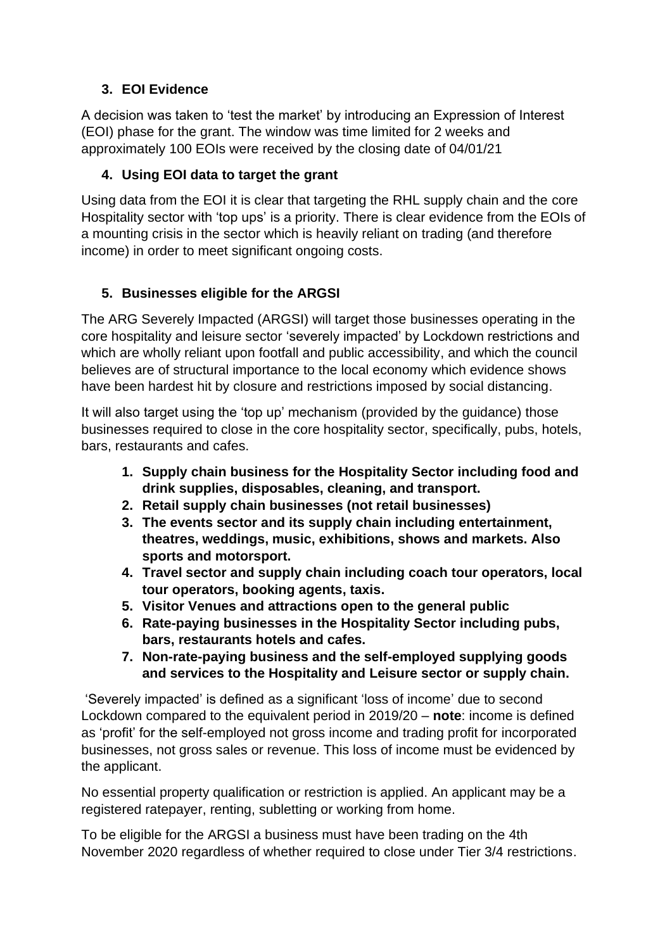## **3. EOI Evidence**

A decision was taken to 'test the market' by introducing an Expression of Interest (EOI) phase for the grant. The window was time limited for 2 weeks and approximately 100 EOIs were received by the closing date of 04/01/21

### **4. Using EOI data to target the grant**

Using data from the EOI it is clear that targeting the RHL supply chain and the core Hospitality sector with 'top ups' is a priority. There is clear evidence from the EOIs of a mounting crisis in the sector which is heavily reliant on trading (and therefore income) in order to meet significant ongoing costs.

### **5. Businesses eligible for the ARGSI**

The ARG Severely Impacted (ARGSI) will target those businesses operating in the core hospitality and leisure sector 'severely impacted' by Lockdown restrictions and which are wholly reliant upon footfall and public accessibility, and which the council believes are of structural importance to the local economy which evidence shows have been hardest hit by closure and restrictions imposed by social distancing.

It will also target using the 'top up' mechanism (provided by the guidance) those businesses required to close in the core hospitality sector, specifically, pubs, hotels, bars, restaurants and cafes.

- **1. Supply chain business for the Hospitality Sector including food and drink supplies, disposables, cleaning, and transport.**
- **2. Retail supply chain businesses (not retail businesses)**
- **3. The events sector and its supply chain including entertainment, theatres, weddings, music, exhibitions, shows and markets. Also sports and motorsport.**
- **4. Travel sector and supply chain including coach tour operators, local tour operators, booking agents, taxis.**
- **5. Visitor Venues and attractions open to the general public**
- **6. Rate-paying businesses in the Hospitality Sector including pubs, bars, restaurants hotels and cafes.**
- **7. Non-rate-paying business and the self-employed supplying goods and services to the Hospitality and Leisure sector or supply chain.**

'Severely impacted' is defined as a significant 'loss of income' due to second Lockdown compared to the equivalent period in 2019/20 – **note**: income is defined as 'profit' for the self-employed not gross income and trading profit for incorporated businesses, not gross sales or revenue. This loss of income must be evidenced by the applicant.

No essential property qualification or restriction is applied. An applicant may be a registered ratepayer, renting, subletting or working from home.

To be eligible for the ARGSI a business must have been trading on the 4th November 2020 regardless of whether required to close under Tier 3/4 restrictions.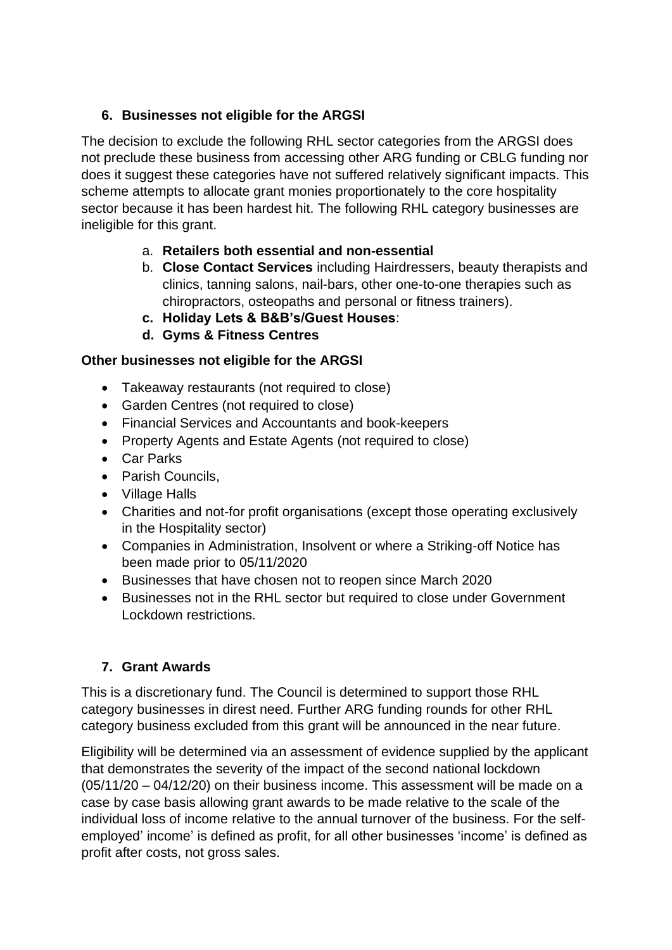## **6. Businesses not eligible for the ARGSI**

The decision to exclude the following RHL sector categories from the ARGSI does not preclude these business from accessing other ARG funding or CBLG funding nor does it suggest these categories have not suffered relatively significant impacts. This scheme attempts to allocate grant monies proportionately to the core hospitality sector because it has been hardest hit. The following RHL category businesses are ineligible for this grant.

- a. **Retailers both essential and non-essential**
- b. **Close Contact Services** including Hairdressers, beauty therapists and clinics, tanning salons, nail-bars, other one-to-one therapies such as chiropractors, osteopaths and personal or fitness trainers).
- **c. Holiday Lets & B&B's/Guest Houses**:
- **d. Gyms & Fitness Centres**

# **Other businesses not eligible for the ARGSI**

- Takeaway restaurants (not required to close)
- Garden Centres (not required to close)
- Financial Services and Accountants and book-keepers
- Property Agents and Estate Agents (not required to close)
- Car Parks
- Parish Councils.
- Village Halls
- Charities and not-for profit organisations (except those operating exclusively in the Hospitality sector)
- Companies in Administration, Insolvent or where a Striking-off Notice has been made prior to 05/11/2020
- Businesses that have chosen not to reopen since March 2020
- Businesses not in the RHL sector but required to close under Government Lockdown restrictions.

# **7. Grant Awards**

This is a discretionary fund. The Council is determined to support those RHL category businesses in direst need. Further ARG funding rounds for other RHL category business excluded from this grant will be announced in the near future.

Eligibility will be determined via an assessment of evidence supplied by the applicant that demonstrates the severity of the impact of the second national lockdown (05/11/20 – 04/12/20) on their business income. This assessment will be made on a case by case basis allowing grant awards to be made relative to the scale of the individual loss of income relative to the annual turnover of the business. For the selfemployed' income' is defined as profit, for all other businesses 'income' is defined as profit after costs, not gross sales.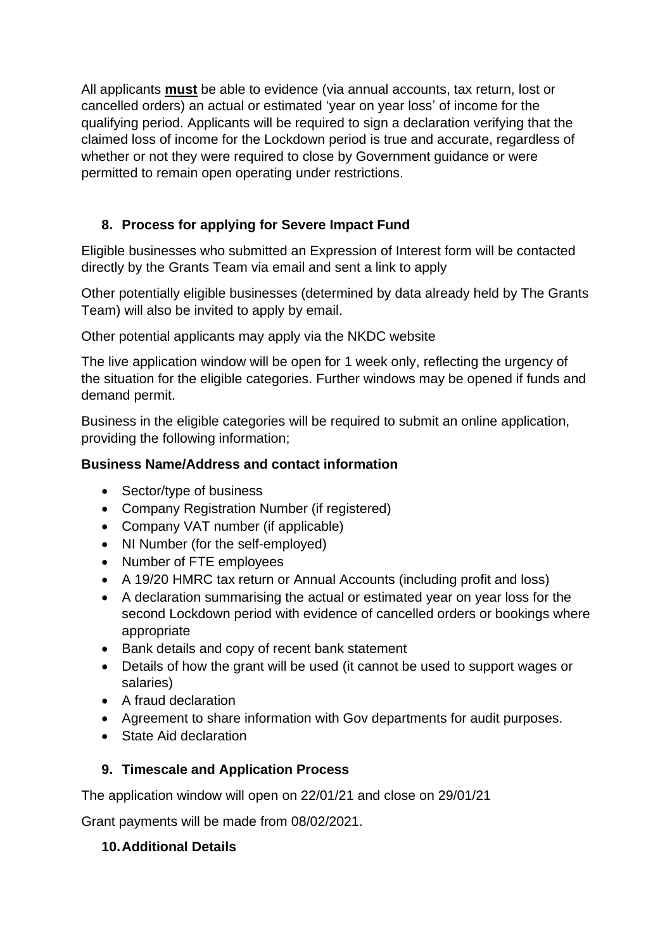All applicants **must** be able to evidence (via annual accounts, tax return, lost or cancelled orders) an actual or estimated 'year on year loss' of income for the qualifying period. Applicants will be required to sign a declaration verifying that the claimed loss of income for the Lockdown period is true and accurate, regardless of whether or not they were required to close by Government guidance or were permitted to remain open operating under restrictions.

## **8. Process for applying for Severe Impact Fund**

Eligible businesses who submitted an Expression of Interest form will be contacted directly by the Grants Team via email and sent a link to apply

Other potentially eligible businesses (determined by data already held by The Grants Team) will also be invited to apply by email.

Other potential applicants may apply via the NKDC website

The live application window will be open for 1 week only, reflecting the urgency of the situation for the eligible categories. Further windows may be opened if funds and demand permit.

Business in the eligible categories will be required to submit an online application, providing the following information;

### **Business Name/Address and contact information**

- Sector/type of business
- Company Registration Number (if registered)
- Company VAT number (if applicable)
- NI Number (for the self-employed)
- Number of FTE employees
- A 19/20 HMRC tax return or Annual Accounts (including profit and loss)
- A declaration summarising the actual or estimated year on year loss for the second Lockdown period with evidence of cancelled orders or bookings where appropriate
- Bank details and copy of recent bank statement
- Details of how the grant will be used (it cannot be used to support wages or salaries)
- A fraud declaration
- Agreement to share information with Gov departments for audit purposes.
- State Aid declaration

## **9. Timescale and Application Process**

The application window will open on 22/01/21 and close on 29/01/21

Grant payments will be made from 08/02/2021.

#### **10.Additional Details**